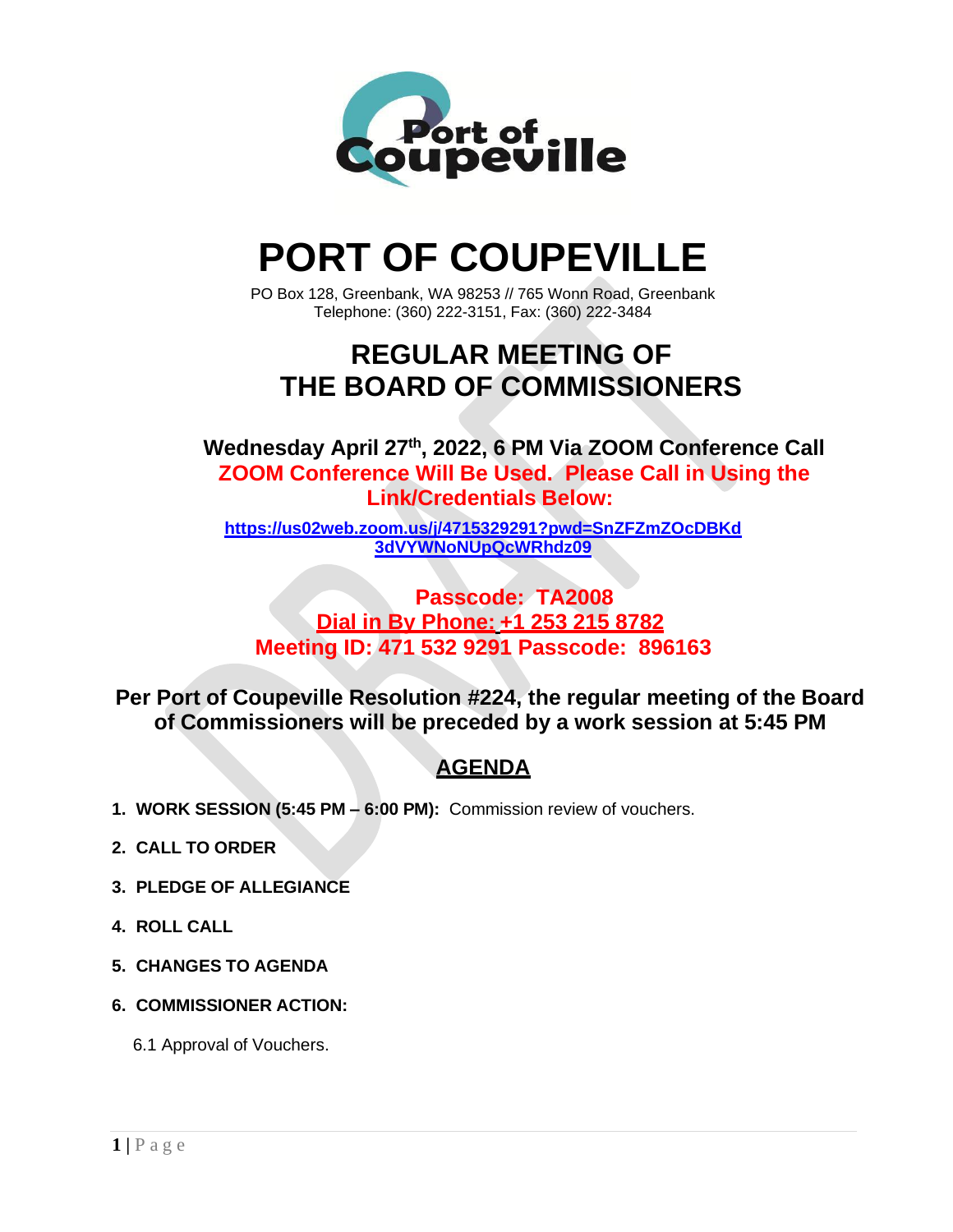

# **PORT OF COUPEVILLE**

PO Box 128, Greenbank, WA 98253 // 765 Wonn Road, Greenbank Telephone: (360) 222-3151, Fax: (360) 222-3484

## **REGULAR MEETING OF THE BOARD OF COMMISSIONERS**

**Wednesday April 27th , 2022, 6 PM Via ZOOM Conference Call ZOOM Conference Will Be Used. Please Call in Using the Link/Credentials Below:**

**[https://us02web.zoom.us/j/4715329291?pwd=SnZFZmZOcDBKd](https://us02web.zoom.us/j/4715329291?pwd=SnZFZmZOcDBKd3dVYWNoNUpQcWRhdz09) [3dVYWNoNUpQcWRhdz09](https://us02web.zoom.us/j/4715329291?pwd=SnZFZmZOcDBKd3dVYWNoNUpQcWRhdz09)**

**Passcode: TA2008 Dial in By Phone: +1 253 215 8782 Meeting ID: 471 532 9291 Passcode: 896163**

**Per Port of Coupeville Resolution #224, the regular meeting of the Board of Commissioners will be preceded by a work session at 5:45 PM**

### **AGENDA**

- **1. WORK SESSION (5:45 PM – 6:00 PM):** Commission review of vouchers.
- **2. CALL TO ORDER**
- **3. PLEDGE OF ALLEGIANCE**
- **4. ROLL CALL**
- **5. CHANGES TO AGENDA**
- **6. COMMISSIONER ACTION:**

6.1 Approval of Vouchers.